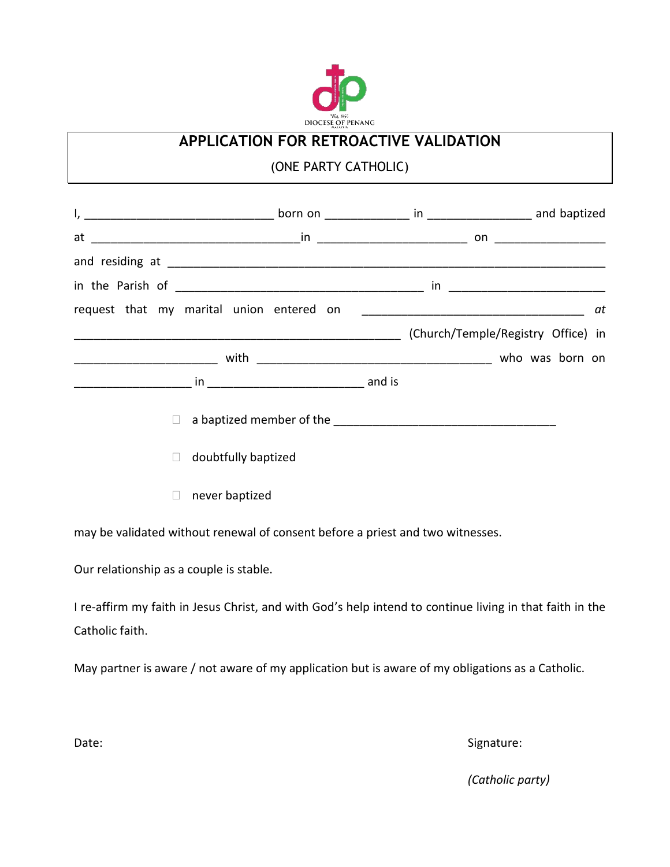

## **APPLICATION FOR RETROACTIVE VALIDATION**

## (ONE PARTY CATHOLIC)

|              |                     |  |  |  | at |
|--------------|---------------------|--|--|--|----|
|              |                     |  |  |  |    |
|              |                     |  |  |  |    |
|              |                     |  |  |  |    |
| $\Box$       |                     |  |  |  |    |
| П            | doubtfully baptized |  |  |  |    |
| $\mathbf{L}$ | never baptized      |  |  |  |    |

may be validated without renewal of consent before a priest and two witnesses.

Our relationship as a couple is stable.

I re-affirm my faith in Jesus Christ, and with God's help intend to continue living in that faith in the Catholic faith.

May partner is aware / not aware of my application but is aware of my obligations as a Catholic.

Date: Signature: Signature: Signature: Signature: Signature: Signature: Signature: Signature: Signature: Signature: Signature: Signature: Signature: Signature: Signature: Signature: Signature: Signature: Signature: Signatu

*(Catholic party)*